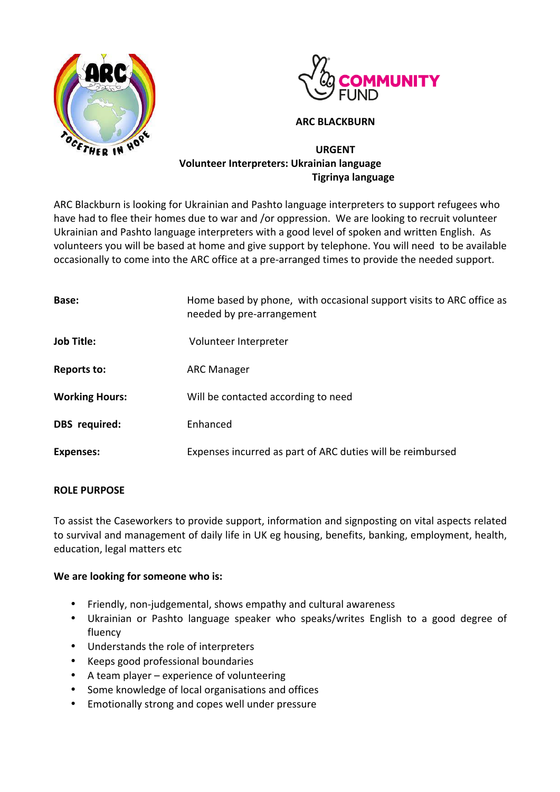



## **ARC BLACKBURN**

# **URGENT Volunteer Interpreters: Ukrainian language Tigrinya language**

ARC Blackburn is looking for Ukrainian and Pashto language interpreters to support refugees who have had to flee their homes due to war and /or oppression. We are looking to recruit volunteer Ukrainian and Pashto language interpreters with a good level of spoken and written English. As volunteers you will be based at home and give support by telephone. You will need to be available occasionally to come into the ARC office at a pre-arranged times to provide the needed support.

| Base:                 | Home based by phone, with occasional support visits to ARC office as<br>needed by pre-arrangement |
|-----------------------|---------------------------------------------------------------------------------------------------|
| <b>Job Title:</b>     | Volunteer Interpreter                                                                             |
| Reports to:           | <b>ARC Manager</b>                                                                                |
| <b>Working Hours:</b> | Will be contacted according to need                                                               |
| DBS required:         | Enhanced                                                                                          |
| <b>Expenses:</b>      | Expenses incurred as part of ARC duties will be reimbursed                                        |

### **ROLE PURPOSE**

To assist the Caseworkers to provide support, information and signposting on vital aspects related to survival and management of daily life in UK eg housing, benefits, banking, employment, health, education, legal matters etc

### We are looking for someone who is:

- Friendly, non-judgemental, shows empathy and cultural awareness
- Ukrainian or Pashto language speaker who speaks/writes English to a good degree of fluency
- Understands the role of interpreters
- Keeps good professional boundaries
- A team player experience of volunteering
- Some knowledge of local organisations and offices
- Emotionally strong and copes well under pressure